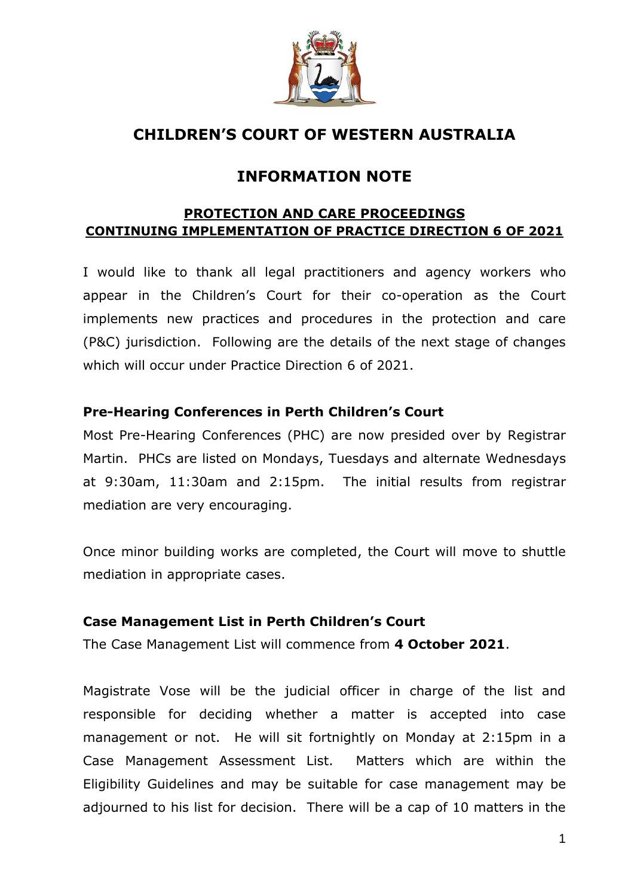

# **CHILDREN'S COURT OF WESTERN AUSTRALIA**

# **INFORMATION NOTE**

## **PROTECTION AND CARE PROCEEDINGS CONTINUING IMPLEMENTATION OF PRACTICE DIRECTION 6 OF 2021**

I would like to thank all legal practitioners and agency workers who appear in the Children's Court for their co-operation as the Court implements new practices and procedures in the protection and care (P&C) jurisdiction. Following are the details of the next stage of changes which will occur under Practice Direction 6 of 2021.

## **Pre-Hearing Conferences in Perth Children's Court**

Most Pre-Hearing Conferences (PHC) are now presided over by Registrar Martin. PHCs are listed on Mondays, Tuesdays and alternate Wednesdays at 9:30am, 11:30am and 2:15pm. The initial results from registrar mediation are very encouraging.

Once minor building works are completed, the Court will move to shuttle mediation in appropriate cases.

## **Case Management List in Perth Children's Court**

The Case Management List will commence from **4 October 2021**.

Magistrate Vose will be the judicial officer in charge of the list and responsible for deciding whether a matter is accepted into case management or not. He will sit fortnightly on Monday at 2:15pm in a Case Management Assessment List. Matters which are within the Eligibility Guidelines and may be suitable for case management may be adjourned to his list for decision. There will be a cap of 10 matters in the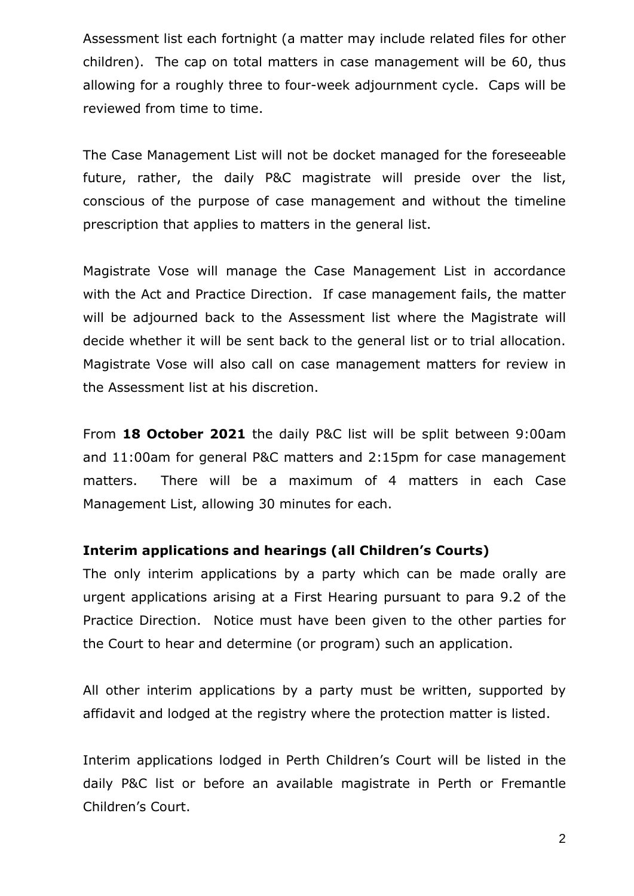Assessment list each fortnight (a matter may include related files for other children). The cap on total matters in case management will be 60, thus allowing for a roughly three to four-week adjournment cycle. Caps will be reviewed from time to time.

The Case Management List will not be docket managed for the foreseeable future, rather, the daily P&C magistrate will preside over the list, conscious of the purpose of case management and without the timeline prescription that applies to matters in the general list.

Magistrate Vose will manage the Case Management List in accordance with the Act and Practice Direction. If case management fails, the matter will be adjourned back to the Assessment list where the Magistrate will decide whether it will be sent back to the general list or to trial allocation. Magistrate Vose will also call on case management matters for review in the Assessment list at his discretion.

From **18 October 2021** the daily P&C list will be split between 9:00am and 11:00am for general P&C matters and 2:15pm for case management matters. There will be a maximum of 4 matters in each Case Management List, allowing 30 minutes for each.

#### **Interim applications and hearings (all Children's Courts)**

The only interim applications by a party which can be made orally are urgent applications arising at a First Hearing pursuant to para 9.2 of the Practice Direction. Notice must have been given to the other parties for the Court to hear and determine (or program) such an application.

All other interim applications by a party must be written, supported by affidavit and lodged at the registry where the protection matter is listed.

Interim applications lodged in Perth Children's Court will be listed in the daily P&C list or before an available magistrate in Perth or Fremantle Children's Court.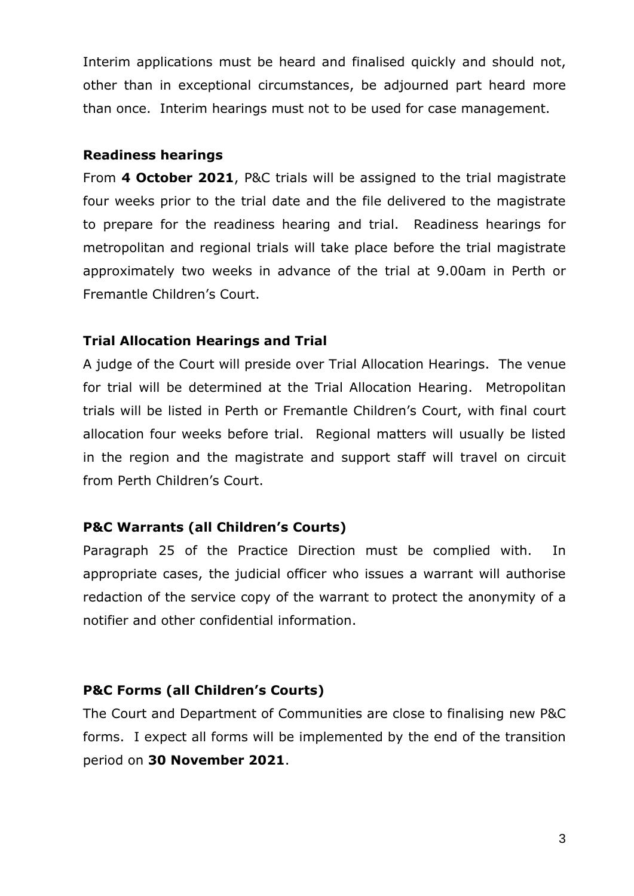Interim applications must be heard and finalised quickly and should not, other than in exceptional circumstances, be adjourned part heard more than once. Interim hearings must not to be used for case management.

#### **Readiness hearings**

From **4 October 2021**, P&C trials will be assigned to the trial magistrate four weeks prior to the trial date and the file delivered to the magistrate to prepare for the readiness hearing and trial. Readiness hearings for metropolitan and regional trials will take place before the trial magistrate approximately two weeks in advance of the trial at 9.00am in Perth or Fremantle Children's Court.

## **Trial Allocation Hearings and Trial**

A judge of the Court will preside over Trial Allocation Hearings. The venue for trial will be determined at the Trial Allocation Hearing. Metropolitan trials will be listed in Perth or Fremantle Children's Court, with final court allocation four weeks before trial. Regional matters will usually be listed in the region and the magistrate and support staff will travel on circuit from Perth Children's Court.

# **P&C Warrants (all Children's Courts)**

Paragraph 25 of the Practice Direction must be complied with. In appropriate cases, the judicial officer who issues a warrant will authorise redaction of the service copy of the warrant to protect the anonymity of a notifier and other confidential information.

# **P&C Forms (all Children's Courts)**

The Court and Department of Communities are close to finalising new P&C forms. I expect all forms will be implemented by the end of the transition period on **30 November 2021**.